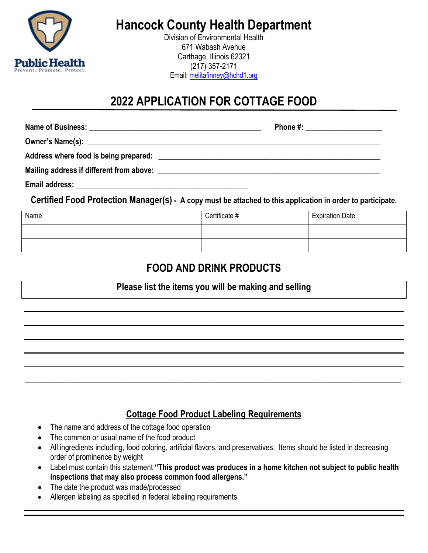

# **Hancock County Health Department**

Division of Environmental Health 671 Wabash Avenue Carthage, Illinois 62321 (217) 357-2171 Email: [melitafinney@hchd1.org](mailto:melitafinney@hchd1.org)

# **2022 APPLICATION FOR COTTAGE FOOD**

|                | Phone #: _____________________ |
|----------------|--------------------------------|
|                |                                |
|                |                                |
|                |                                |
| Email address: |                                |

**Certified Food Protection Manager(s) - A copy must be attached to this application in order to participate.**

| Name | Certificate # | <b>Expiration Date</b> |
|------|---------------|------------------------|
|      |               |                        |
|      |               |                        |

## **FOOD AND DRINK PRODUCTS**

#### **Please list the items you will be making and selling**

#### **Cottage Food Product Labeling Requirements**

\_\_\_\_\_\_\_\_\_\_\_\_\_\_\_\_\_\_\_\_\_\_\_\_\_\_\_\_\_\_\_\_\_\_\_\_\_\_\_\_\_\_\_\_\_\_\_\_\_\_\_\_\_\_\_\_\_\_\_\_\_\_\_\_\_\_\_\_\_\_\_\_\_\_\_\_\_\_\_\_\_\_\_\_\_\_\_\_\_\_\_\_\_\_\_\_\_\_\_\_\_\_\_\_\_\_\_\_\_\_\_\_\_\_\_\_\_\_\_\_\_\_\_\_\_\_\_\_\_\_\_\_\_\_\_\_\_\_\_\_\_\_\_\_\_\_\_\_\_\_\_\_\_\_\_\_\_\_\_\_\_\_\_\_\_\_\_\_\_\_\_\_\_\_\_\_\_\_\_\_\_\_\_\_\_\_\_\_\_\_\_\_\_\_\_\_\_\_\_\_\_\_\_\_\_\_\_\_\_\_\_\_\_\_\_

- The name and address of the cottage food operation
- The common or usual name of the food product
- All ingredients including, food coloring, artificial flavors, and preservatives. Items should be listed in decreasing order of prominence by weight
- Label must contain this statement **"This product was produces in a home kitchen not subject to public health inspections that may also process common food allergens."**
- The date the product was made/processed
- Allergen labeling as specified in federal labeling requirements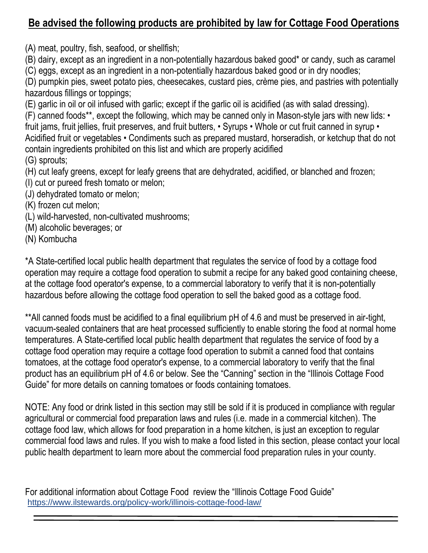## **Be advised the following products are prohibited by law for Cottage Food Operations**

(A) meat, poultry, fish, seafood, or shellfish;

(B) dairy, except as an ingredient in a non-potentially hazardous baked good\* or candy, such as caramel (C) eggs, except as an ingredient in a non-potentially hazardous baked good or in dry noodles;

(D) pumpkin pies, sweet potato pies, cheesecakes, custard pies, crème pies, and pastries with potentially hazardous fillings or toppings;

(E) garlic in oil or oil infused with garlic; except if the garlic oil is acidified (as with salad dressing).

(F) canned foods\*\*, except the following, which may be canned only in Mason-style jars with new lids: • fruit jams, fruit jellies, fruit preserves, and fruit butters, • Syrups • Whole or cut fruit canned in syrup • Acidified fruit or vegetables • Condiments such as prepared mustard, horseradish, or ketchup that do not contain ingredients prohibited on this list and which are properly acidified (G) sprouts;

(H) cut leafy greens, except for leafy greens that are dehydrated, acidified, or blanched and frozen; (I) cut or pureed fresh tomato or melon;

(J) dehydrated tomato or melon;

(K) frozen cut melon;

- (L) wild-harvested, non-cultivated mushrooms;
- (M) alcoholic beverages; or
- (N) Kombucha

\*A State-certified local public health department that regulates the service of food by a cottage food operation may require a cottage food operation to submit a recipe for any baked good containing cheese, at the cottage food operator's expense, to a commercial laboratory to verify that it is non-potentially hazardous before allowing the cottage food operation to sell the baked good as a cottage food.

\*\*All canned foods must be acidified to a final equilibrium pH of 4.6 and must be preserved in air-tight, vacuum-sealed containers that are heat processed sufficiently to enable storing the food at normal home temperatures. A State-certified local public health department that regulates the service of food by a cottage food operation may require a cottage food operation to submit a canned food that contains tomatoes, at the cottage food operator's expense, to a commercial laboratory to verify that the final product has an equilibrium pH of 4.6 or below. See the "Canning" section in the "Illinois Cottage Food Guide" for more details on canning tomatoes or foods containing tomatoes.

NOTE: Any food or drink listed in this section may still be sold if it is produced in compliance with regular agricultural or commercial food preparation laws and rules (i.e. made in a commercial kitchen). The cottage food law, which allows for food preparation in a home kitchen, is just an exception to regular commercial food laws and rules. If you wish to make a food listed in this section, please contact your local public health department to learn more about the commercial food preparation rules in your county.

For additional information about Cottage Food review the "Illinois Cottage Food Guide" <https://www.ilstewards.org/policy-work/illinois-cottage-food-law/>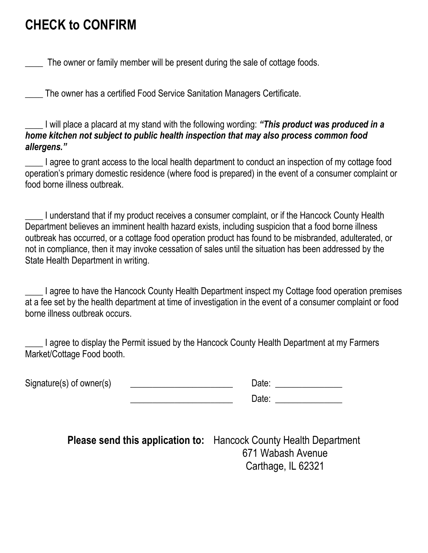# **CHECK to CONFIRM**

The owner or family member will be present during the sale of cottage foods.

\_\_\_\_ The owner has a certified Food Service Sanitation Managers Certificate.

\_\_\_\_ I will place a placard at my stand with the following wording: *"This product was produced in a home kitchen not subject to public health inspection that may also process common food allergens."*

I agree to grant access to the local health department to conduct an inspection of my cottage food operation's primary domestic residence (where food is prepared) in the event of a consumer complaint or food borne illness outbreak.

I understand that if my product receives a consumer complaint, or if the Hancock County Health Department believes an imminent health hazard exists, including suspicion that a food borne illness outbreak has occurred, or a cottage food operation product has found to be misbranded, adulterated, or not in compliance, then it may invoke cessation of sales until the situation has been addressed by the State Health Department in writing.

I agree to have the Hancock County Health Department inspect my Cottage food operation premises at a fee set by the health department at time of investigation in the event of a consumer complaint or food borne illness outbreak occurs.

I agree to display the Permit issued by the Hancock County Health Department at my Farmers Market/Cottage Food booth.

Signature(s) of owner(s)

| Date: |
|-------|
| Date: |

**Please send this application to:** Hancock County Health Department 671 Wabash Avenue Carthage, IL 62321